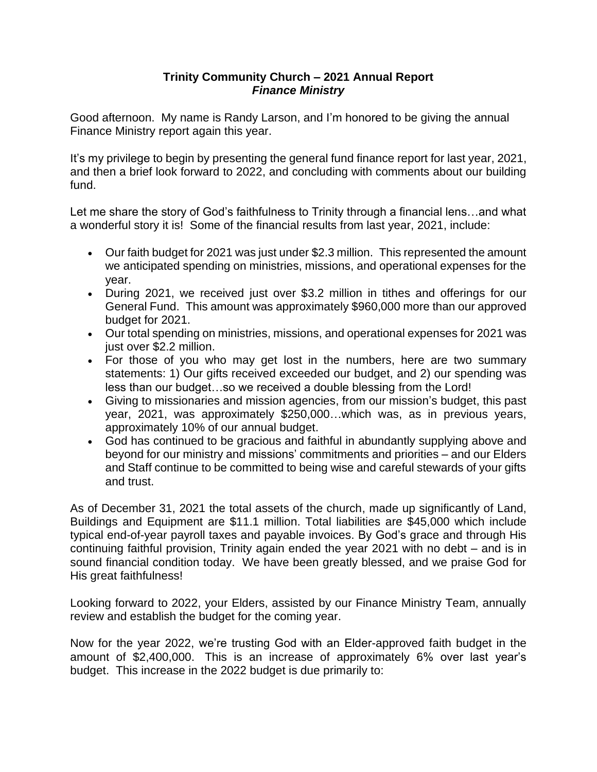## **Trinity Community Church – 2021 Annual Report** *Finance Ministry*

Good afternoon. My name is Randy Larson, and I'm honored to be giving the annual Finance Ministry report again this year.

It's my privilege to begin by presenting the general fund finance report for last year, 2021, and then a brief look forward to 2022, and concluding with comments about our building fund.

Let me share the story of God's faithfulness to Trinity through a financial lens…and what a wonderful story it is! Some of the financial results from last year, 2021, include:

- Our faith budget for 2021 was just under \$2.3 million. This represented the amount we anticipated spending on ministries, missions, and operational expenses for the year.
- During 2021, we received just over \$3.2 million in tithes and offerings for our General Fund. This amount was approximately \$960,000 more than our approved budget for 2021.
- Our total spending on ministries, missions, and operational expenses for 2021 was just over \$2.2 million.
- For those of you who may get lost in the numbers, here are two summary statements: 1) Our gifts received exceeded our budget, and 2) our spending was less than our budget…so we received a double blessing from the Lord!
- Giving to missionaries and mission agencies, from our mission's budget, this past year, 2021, was approximately \$250,000…which was, as in previous years, approximately 10% of our annual budget.
- God has continued to be gracious and faithful in abundantly supplying above and beyond for our ministry and missions' commitments and priorities – and our Elders and Staff continue to be committed to being wise and careful stewards of your gifts and trust.

As of December 31, 2021 the total assets of the church, made up significantly of Land, Buildings and Equipment are \$11.1 million. Total liabilities are \$45,000 which include typical end-of-year payroll taxes and payable invoices. By God's grace and through His continuing faithful provision, Trinity again ended the year 2021 with no debt – and is in sound financial condition today. We have been greatly blessed, and we praise God for His great faithfulness!

Looking forward to 2022, your Elders, assisted by our Finance Ministry Team, annually review and establish the budget for the coming year.

Now for the year 2022, we're trusting God with an Elder-approved faith budget in the amount of \$2,400,000. This is an increase of approximately 6% over last year's budget. This increase in the 2022 budget is due primarily to: